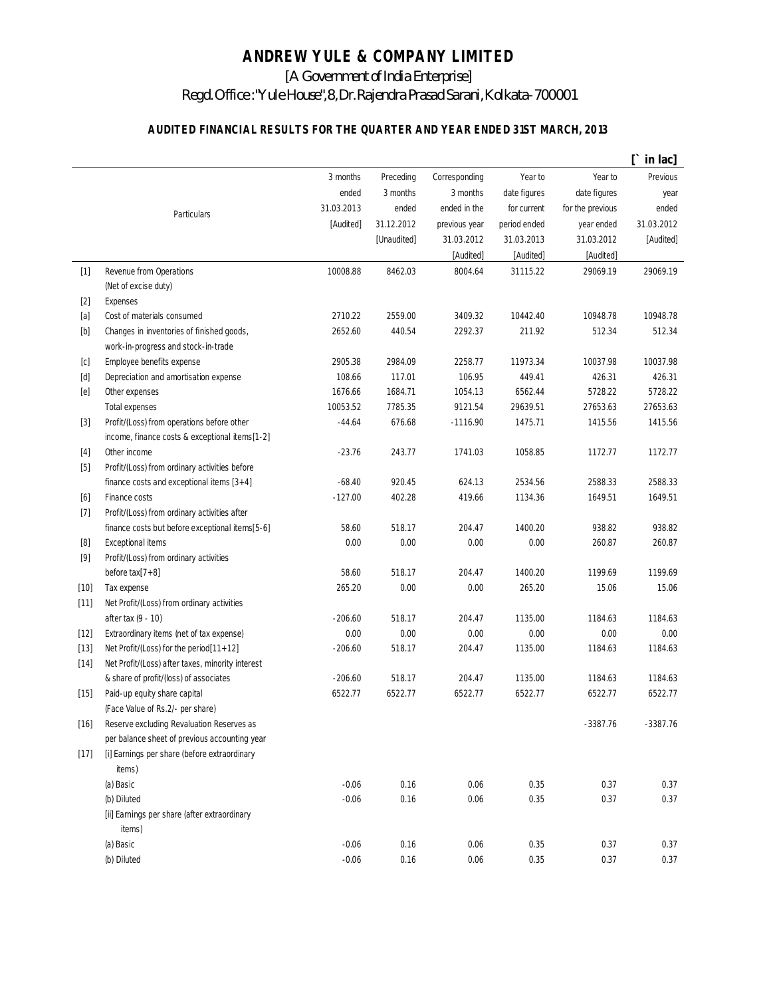## **ANDREW YULE & COMPANY LIMITED**

[A Government of India Enterprise]

## Regd. Office : "Yule House", 8, Dr. Rajendra Prasad Sarani, Kolkata-700001

## **AUDITED FINANCIAL RESULTS FOR THE QUARTER AND YEAR ENDED 31ST MARCH, 2013**

|                                                                                                                                                                                       |                                                        |            |             |               |              |                  | in lac]    |
|---------------------------------------------------------------------------------------------------------------------------------------------------------------------------------------|--------------------------------------------------------|------------|-------------|---------------|--------------|------------------|------------|
|                                                                                                                                                                                       |                                                        | 3 months   | Preceding   | Corresponding | Year to      | Year to          | Previous   |
|                                                                                                                                                                                       |                                                        | ended      | 3 months    | 3 months      | date figures | date figures     | year       |
|                                                                                                                                                                                       | Particulars                                            | 31.03.2013 | ended       | ended in the  | for current  | for the previous | ended      |
|                                                                                                                                                                                       |                                                        | [Audited]  | 31.12.2012  | previous year | period ended | year ended       | 31.03.2012 |
|                                                                                                                                                                                       |                                                        |            | [Unaudited] | 31.03.2012    | 31.03.2013   | 31.03.2012       | [Audited]  |
|                                                                                                                                                                                       |                                                        |            |             | [Audited]     | [Audited]    | [Audited]        |            |
| $[1]$                                                                                                                                                                                 | Revenue from Operations                                | 10008.88   | 8462.03     | 8004.64       | 31115.22     | 29069.19         | 29069.19   |
|                                                                                                                                                                                       | (Net of excise duty)                                   |            |             |               |              |                  |            |
| $[2]$                                                                                                                                                                                 | <b>Expenses</b>                                        |            |             |               |              |                  |            |
| [a]                                                                                                                                                                                   | Cost of materials consumed                             | 2710.22    | 2559.00     | 3409.32       | 10442.40     | 10948.78         | 10948.78   |
| $[b] % \begin{center} % \includegraphics[width=\linewidth]{imagesSupplemental_3.png} % \end{center} % \caption { % Our method can be used for the image. % } % \label{fig:example} %$ | Changes in inventories of finished goods,              | 2652.60    | 440.54      | 2292.37       | 211.92       | 512.34           | 512.34     |
|                                                                                                                                                                                       | work-in-progress and stock-in-trade                    |            |             |               |              |                  |            |
| [c]                                                                                                                                                                                   | Employee benefits expense                              | 2905.38    | 2984.09     | 2258.77       | 11973.34     | 10037.98         | 10037.98   |
| [d]                                                                                                                                                                                   | Depreciation and amortisation expense                  | 108.66     | 117.01      | 106.95        | 449.41       | 426.31           | 426.31     |
| [e]                                                                                                                                                                                   | Other expenses                                         | 1676.66    | 1684.71     | 1054.13       | 6562.44      | 5728.22          | 5728.22    |
|                                                                                                                                                                                       | <b>Total expenses</b>                                  | 10053.52   | 7785.35     | 9121.54       | 29639.51     | 27653.63         | 27653.63   |
| $[3]$                                                                                                                                                                                 | Profit/(Loss) from operations before other             | $-44.64$   | 676.68      | $-1116.90$    | 1475.71      | 1415.56          | 1415.56    |
|                                                                                                                                                                                       | income, finance costs & exceptional items[1-2]         |            |             |               |              |                  |            |
| $[4]$                                                                                                                                                                                 | Other income                                           | $-23.76$   | 243.77      | 1741.03       | 1058.85      | 1172.77          | 1172.77    |
| $[5]$                                                                                                                                                                                 | Profit/(Loss) from ordinary activities before          |            |             |               |              |                  |            |
|                                                                                                                                                                                       | finance costs and exceptional items $[3+4]$            | $-68.40$   | 920.45      | 624.13        | 2534.56      | 2588.33          | 2588.33    |
| [6]                                                                                                                                                                                   | Finance costs                                          | $-127.00$  | 402.28      | 419.66        | 1134.36      | 1649.51          | 1649.51    |
| $[7]$                                                                                                                                                                                 | Profit/(Loss) from ordinary activities after           |            |             |               |              |                  |            |
|                                                                                                                                                                                       | finance costs but before exceptional items[5-6]        | 58.60      | 518.17      | 204.47        | 1400.20      | 938.82           | 938.82     |
| [8]                                                                                                                                                                                   | <b>Exceptional items</b>                               | 0.00       | 0.00        | 0.00          | 0.00         | 260.87           | 260.87     |
| $[9]$                                                                                                                                                                                 | Profit/(Loss) from ordinary activities                 |            |             |               |              |                  |            |
|                                                                                                                                                                                       | before $\text{tax}[7+8]$                               | 58.60      | 518.17      | 204.47        | 1400.20      | 1199.69          | 1199.69    |
| $[10]$                                                                                                                                                                                | Tax expense                                            | 265.20     | 0.00        | 0.00          | 265.20       | 15.06            | 15.06      |
| $[11]$                                                                                                                                                                                | Net Profit/(Loss) from ordinary activities             |            |             |               |              |                  |            |
|                                                                                                                                                                                       | after tax (9 - 10)                                     | $-206.60$  | 518.17      | 204.47        | 1135.00      | 1184.63          | 1184.63    |
| $[12]$                                                                                                                                                                                | Extraordinary items (net of tax expense)               | 0.00       | 0.00        | 0.00          | 0.00         | 0.00             | 0.00       |
| $[13]$                                                                                                                                                                                | Net Profit/(Loss) for the period[11+12]                | $-206.60$  | 518.17      | 204.47        | 1135.00      | 1184.63          | 1184.63    |
| $[14]$                                                                                                                                                                                | Net Profit/(Loss) after taxes, minority interest       |            |             |               |              |                  |            |
|                                                                                                                                                                                       | & share of profit/(loss) of associates                 | $-206.60$  | 518.17      | 204.47        | 1135.00      | 1184.63          | 1184.63    |
| $[15]$                                                                                                                                                                                | Paid-up equity share capital                           | 6522.77    | 6522.77     | 6522.77       | 6522.77      | 6522.77          | 6522.77    |
|                                                                                                                                                                                       | (Face Value of Rs.2/- per share)                       |            |             |               |              |                  |            |
| $[16]$                                                                                                                                                                                | Reserve excluding Revaluation Reserves as              |            |             |               |              | $-3387.76$       | $-3387.76$ |
|                                                                                                                                                                                       | per balance sheet of previous accounting year          |            |             |               |              |                  |            |
| $[17]$                                                                                                                                                                                | [i] Earnings per share (before extraordinary<br>items) |            |             |               |              |                  |            |
|                                                                                                                                                                                       | (a) Basic                                              | $-0.06$    | 0.16        | 0.06          | 0.35         | 0.37             | 0.37       |
|                                                                                                                                                                                       | (b) Diluted                                            | $-0.06$    | 0.16        | 0.06          | 0.35         | 0.37             | 0.37       |
|                                                                                                                                                                                       | [ii] Earnings per share (after extraordinary<br>items) |            |             |               |              |                  |            |
|                                                                                                                                                                                       | (a) Basic                                              | $-0.06$    | 0.16        | 0.06          | 0.35         | 0.37             | 0.37       |
|                                                                                                                                                                                       | (b) Diluted                                            | $-0.06$    | 0.16        | 0.06          | 0.35         | 0.37             | 0.37       |
|                                                                                                                                                                                       |                                                        |            |             |               |              |                  |            |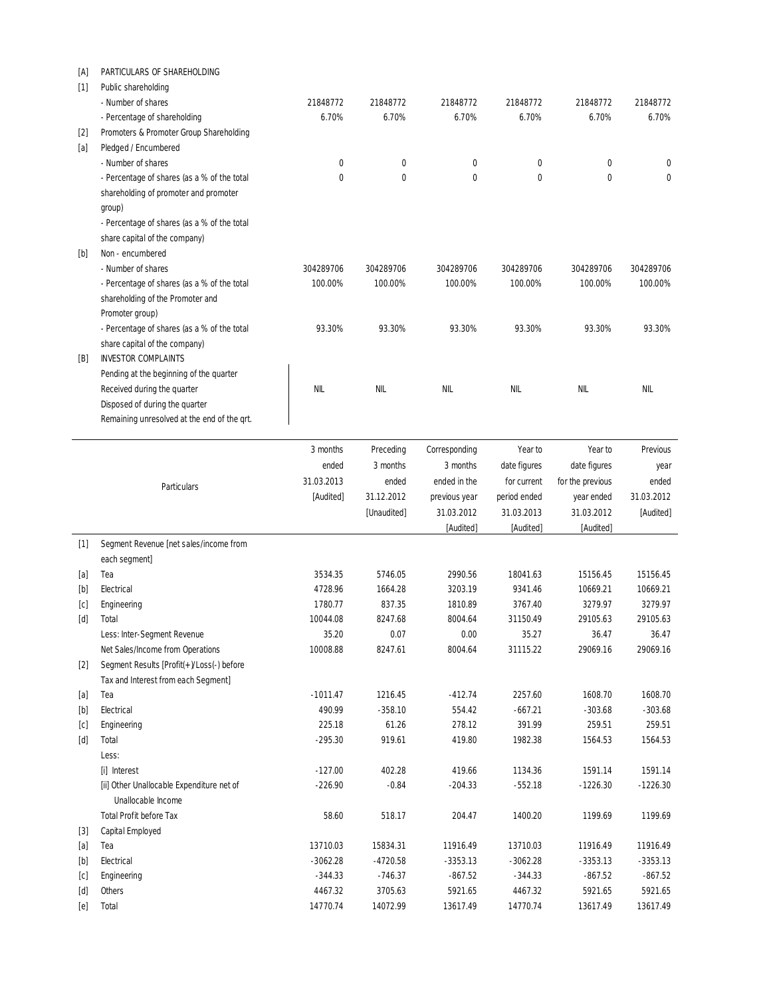| [A]                                                                                                                                                                                                                                                                                                                                      | PARTICULARS OF SHAREHOLDING                                   |                     |                     |                     |                     |                     |                     |  |
|------------------------------------------------------------------------------------------------------------------------------------------------------------------------------------------------------------------------------------------------------------------------------------------------------------------------------------------|---------------------------------------------------------------|---------------------|---------------------|---------------------|---------------------|---------------------|---------------------|--|
| $[1]$                                                                                                                                                                                                                                                                                                                                    | Public shareholding                                           |                     |                     |                     |                     |                     |                     |  |
|                                                                                                                                                                                                                                                                                                                                          | - Number of shares                                            | 21848772            | 21848772            | 21848772            | 21848772            | 21848772            | 21848772            |  |
|                                                                                                                                                                                                                                                                                                                                          | - Percentage of shareholding                                  | 6.70%               | 6.70%               | 6.70%               | 6.70%               | 6.70%               | 6.70%               |  |
| $[2]$                                                                                                                                                                                                                                                                                                                                    | Promoters & Promoter Group Shareholding                       |                     |                     |                     |                     |                     |                     |  |
| [a]                                                                                                                                                                                                                                                                                                                                      | Pledged / Encumbered                                          |                     |                     |                     |                     |                     |                     |  |
|                                                                                                                                                                                                                                                                                                                                          | - Number of shares                                            | 0                   | 0                   | 0                   | 0                   | 0                   | 0                   |  |
|                                                                                                                                                                                                                                                                                                                                          | - Percentage of shares (as a % of the total                   | 0                   | $\mathbf{0}$        | 0                   | $\mathbf{0}$        | $\mathbf{0}$        | 0                   |  |
|                                                                                                                                                                                                                                                                                                                                          | shareholding of promoter and promoter                         |                     |                     |                     |                     |                     |                     |  |
|                                                                                                                                                                                                                                                                                                                                          | group)                                                        |                     |                     |                     |                     |                     |                     |  |
|                                                                                                                                                                                                                                                                                                                                          | - Percentage of shares (as a % of the total                   |                     |                     |                     |                     |                     |                     |  |
|                                                                                                                                                                                                                                                                                                                                          | share capital of the company)                                 |                     |                     |                     |                     |                     |                     |  |
| $[b] % \begin{center} % \includegraphics[width=\linewidth]{imagesSupplemental_3.png} % \end{center} % \caption { % Our method can be used for the image. % } % \label{fig:example} %$                                                                                                                                                    | Non - encumbered                                              |                     |                     |                     |                     |                     |                     |  |
|                                                                                                                                                                                                                                                                                                                                          | - Number of shares                                            | 304289706           | 304289706           | 304289706           | 304289706           | 304289706           | 304289706           |  |
|                                                                                                                                                                                                                                                                                                                                          | - Percentage of shares (as a % of the total                   | 100.00%             | 100.00%             | 100.00%             | 100.00%             | 100.00%             | 100.00%             |  |
|                                                                                                                                                                                                                                                                                                                                          | shareholding of the Promoter and                              |                     |                     |                     |                     |                     |                     |  |
|                                                                                                                                                                                                                                                                                                                                          | Promoter group)                                               |                     |                     |                     |                     |                     |                     |  |
|                                                                                                                                                                                                                                                                                                                                          | - Percentage of shares (as a % of the total                   | 93.30%              | 93.30%              | 93.30%              | 93.30%              | 93.30%              | 93.30%              |  |
|                                                                                                                                                                                                                                                                                                                                          | share capital of the company)                                 |                     |                     |                     |                     |                     |                     |  |
| [B]                                                                                                                                                                                                                                                                                                                                      | <b>INVESTOR COMPLAINTS</b>                                    |                     |                     |                     |                     |                     |                     |  |
|                                                                                                                                                                                                                                                                                                                                          | Pending at the beginning of the quarter                       |                     |                     |                     |                     |                     |                     |  |
|                                                                                                                                                                                                                                                                                                                                          | Received during the quarter<br>Disposed of during the quarter | NIL                 | NIL                 | NIL                 | NIL                 | NIL                 | NIL                 |  |
|                                                                                                                                                                                                                                                                                                                                          | Remaining unresolved at the end of the grt.                   |                     |                     |                     |                     |                     |                     |  |
|                                                                                                                                                                                                                                                                                                                                          |                                                               |                     |                     |                     |                     |                     |                     |  |
|                                                                                                                                                                                                                                                                                                                                          |                                                               | 3 months            | Preceding           | Corresponding       | Year to             | Year to             | Previous            |  |
|                                                                                                                                                                                                                                                                                                                                          |                                                               | ended               | 3 months            | 3 months            | date figures        | date figures        | year                |  |
|                                                                                                                                                                                                                                                                                                                                          |                                                               | 31.03.2013          | ended               | ended in the        | for current         | for the previous    | ended               |  |
|                                                                                                                                                                                                                                                                                                                                          | <b>Particulars</b>                                            | [Audited]           | 31.12.2012          | previous year       | period ended        | year ended          | 31.03.2012          |  |
|                                                                                                                                                                                                                                                                                                                                          |                                                               |                     | [Unaudited]         | 31.03.2012          | 31.03.2013          | 31.03.2012          | [Audited]           |  |
|                                                                                                                                                                                                                                                                                                                                          |                                                               |                     |                     | [Audited]           | [Audited]           | [Audited]           |                     |  |
| $[1]$                                                                                                                                                                                                                                                                                                                                    | Segment Revenue [net sales/income from                        |                     |                     |                     |                     |                     |                     |  |
|                                                                                                                                                                                                                                                                                                                                          | each segment]                                                 |                     |                     |                     |                     |                     |                     |  |
| [a]                                                                                                                                                                                                                                                                                                                                      | Tea                                                           | 3534.35             | 5746.05             | 2990.56             | 18041.63            | 15156.45            | 15156.45            |  |
| [b]                                                                                                                                                                                                                                                                                                                                      | Electrical                                                    | 4728.96             | 1664.28             | 3203.19             | 9341.46             | 10669.21            | 10669.21            |  |
| [c]                                                                                                                                                                                                                                                                                                                                      | Engineering                                                   | 1780.77             | 837.35              | 1810.89             | 3767.40             | 3279.97             | 3279.97             |  |
| [d]                                                                                                                                                                                                                                                                                                                                      | Total                                                         | 10044.08            | 8247.68             | 8004.64             | 31150.49            | 29105.63            | 29105.63            |  |
|                                                                                                                                                                                                                                                                                                                                          | Less: Inter-Segment Revenue                                   | 35.20               | 0.07                | 0.00                | 35.27               | 36.47               | 36.47               |  |
|                                                                                                                                                                                                                                                                                                                                          | Net Sales/Income from Operations                              | 10008.88            | 8247.61             | 8004.64             | 31115.22            | 29069.16            | 29069.16            |  |
| $[2]$                                                                                                                                                                                                                                                                                                                                    | Segment Results [Profit(+)/Loss(-) before                     |                     |                     |                     |                     |                     |                     |  |
|                                                                                                                                                                                                                                                                                                                                          | Tax and Interest from each Segment]                           |                     |                     |                     |                     |                     |                     |  |
| [a]                                                                                                                                                                                                                                                                                                                                      | Tea                                                           | $-1011.47$          | 1216.45             | $-412.74$           | 2257.60             | 1608.70             | 1608.70             |  |
| $[b] \centering% \includegraphics[width=1.0\textwidth]{Figures/PD1.png} \caption{The 3D (black) model for the $z$-axis. The left side is the right side (black) model for the $z$-axis. The right side is the right side (black) model for the $z$-axis. The right side is the right side (black) model for the $z$-axis.} \label{fig5}$ | Electrical                                                    | 490.99              | $-358.10$           | 554.42              | $-667.21$           | $-303.68$           | $-303.68$           |  |
| [c]                                                                                                                                                                                                                                                                                                                                      | Engineering                                                   | 225.18              | 61.26               | 278.12              | 391.99              | 259.51              | 259.51              |  |
| [d]                                                                                                                                                                                                                                                                                                                                      | Total                                                         | $-295.30$           | 919.61              | 419.80              | 1982.38             | 1564.53             | 1564.53             |  |
|                                                                                                                                                                                                                                                                                                                                          | Less:                                                         |                     |                     |                     |                     |                     |                     |  |
|                                                                                                                                                                                                                                                                                                                                          | [i] Interest                                                  | $-127.00$           | 402.28              | 419.66              | 1134.36             | 1591.14             | 1591.14             |  |
|                                                                                                                                                                                                                                                                                                                                          | [ii] Other Unallocable Expenditure net of                     | $-226.90$           | $-0.84$             | $-204.33$           | $-552.18$           | $-1226.30$          | $-1226.30$          |  |
|                                                                                                                                                                                                                                                                                                                                          | Unallocable Income                                            |                     |                     |                     |                     |                     |                     |  |
|                                                                                                                                                                                                                                                                                                                                          | <b>Total Profit before Tax</b>                                | 58.60               | 518.17              | 204.47              | 1400.20             | 1199.69             | 1199.69             |  |
| $[3]$                                                                                                                                                                                                                                                                                                                                    | Capital Employed                                              |                     |                     |                     |                     |                     |                     |  |
| [a]                                                                                                                                                                                                                                                                                                                                      | Tea                                                           | 13710.03            | 15834.31            | 11916.49            | 13710.03            | 11916.49            | 11916.49            |  |
| $[b] % \begin{center} % \includegraphics[width=\linewidth]{imagesSupplemental_3.png} % \end{center} % \caption { % Our method can be used for the use of the image. % } % \label{fig:example} %$                                                                                                                                         |                                                               |                     |                     |                     |                     | $-3353.13$          | $-3353.13$          |  |
|                                                                                                                                                                                                                                                                                                                                          | Electrical                                                    | $-3062.28$          | $-4720.58$          | $-3353.13$          | $-3062.28$          |                     |                     |  |
| [c]                                                                                                                                                                                                                                                                                                                                      | Engineering                                                   | $-344.33$           | $-746.37$           | $-867.52$           | $-344.33$           | $-867.52$           | $-867.52$           |  |
| [d]<br>[e]                                                                                                                                                                                                                                                                                                                               | Others<br>Total                                               | 4467.32<br>14770.74 | 3705.63<br>14072.99 | 5921.65<br>13617.49 | 4467.32<br>14770.74 | 5921.65<br>13617.49 | 5921.65<br>13617.49 |  |